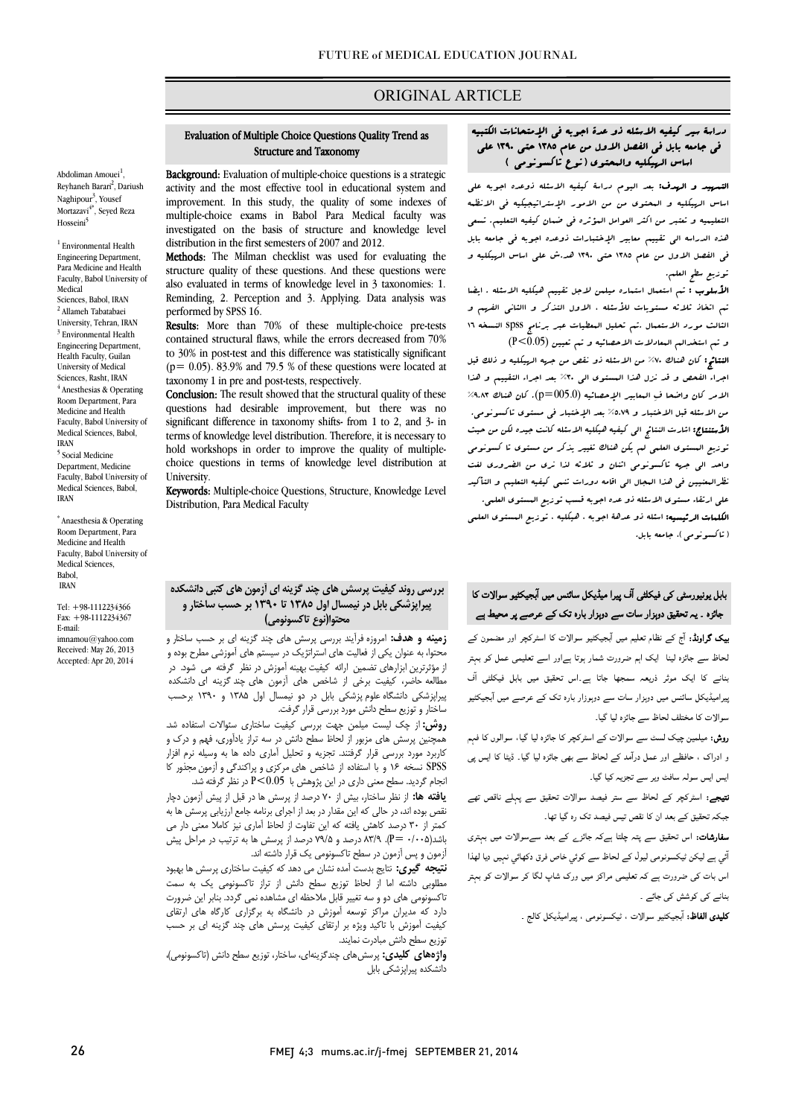#### ORIGINAL ARTICLE

## Evaluation of Multiple Choice Questions Quality Trend as Structure and Taxonomy

Ī

 Background: Evaluation of multiple-choice questions is a strategic improvement. In this study, the quality of some indexes of multiple-choice exams in Babol Para Medical faculty was distribution in the first semesters of 2007 and 2012. activity and the most effective tool in educational system and investigated on the basis of structure and knowledge level

Methods: The Milman checklist was used for evaluating the structure quality of these questions. And these questions were Reminding, 2. Perception and 3. Applying. Data analysis was also evaluated in terms of knowledge level in 3 taxonomies: 1. performed by SPSS 16.

 contained structural flaws, while the errors decreased from 70% to 30% in post-test and this difference was statistically significant  $(p= 0.05)$ . 83.9% and 79.5 % of these questions were located at Results: More than 70% of these multiple-choice pre-tests taxonomy 1 in pre and post-tests, respectively.

**Conclusion:** The result showed that the structural quality of these questions had desirable improvement, but there was no significant unterefice in taxonomy sints- nom 1 to 2, and 3- in<br>terms of knowledge level distribution. Therefore, it is necessary to hold workshops in order to improve the quality of multiple- choice questions in terms of knowledge level distribution at significant difference in taxonomy shifts- from 1 to 2, and 3- in University.

Enversity.<br>Keywords: Multiple-choice Questions, Structure, Knowledge Level Distribution, Para Medical Faculty

#### بررسی روند کیفیت پرسش هاي چند گزینه اي آزمون هاي کتبی دانشکده پیراپزشکی بابل در نیمسال اول 1385 تا 1390 بر حسب ساختار و محتوا(نوع تاکسونومی)

 زمینه و هدف: امروزه فرآیند بررسی پرسش هاي چند گزینه اي بر حسب ساختار و محتوا، به عنوان یکی از فعالیت هاي استراتژیک در سیستم هاي آموزشی مطرح بوده و مطالعه حاضر، کیفیت برخی از شاخص هاي آزمون هاي چند گزینه اي دانشکده پیراپزشکی دانشگاه علوم پزشکی بابل در دو نیمسال اول 1385 و 1390 برحسب ساختار و توزیع سطح دانش مورد بررسی قرار گرفت. از مؤثرترین ابزارهاي تضمین ارائه کیفیت بهینه آموزش در نظر گرفته می شود. در

 همچنین پرسش هاي مزبور از لحاظ سطح دانش در سه تراز یادآوري، فهم و درك و کاربرد مورد بررسی قرار گرفتند. تجزیه و تحلیل آماري داده ها به وسیله نرم افزار SPSS نسخه 16 و با استفاده از شاخص هاي مرکزي و پراکندگی و آزمون مجذور کا روش: از چک لیست میلمن جهت بررسی کیفیت ساختاري سئوالات استفاده شد. انجام گردید. سطح معنی داري در این پژوهش با 0.05>P در نظر گرفته شد.

 یافته ها: از نظر ساختار، بیش از 70 درصد از پرسش ها در قبل از پیش آزمون دچار نقص بوده اند، در حالی که این مقدار در بعد از اجراي برنامه جامع ارزیابی پرسش ها به ֓ باشد(۰۰۵- P). ۸۳/۹ درصد و ۲۹/۵ درصد از پرسش ها به ترتیب در مراحل پیش<br>ازمون مرسد آزمون در سطح تاکسونوم مرکز قبل داشته اند. کمتر از 30 درصد کاهش یافته که این تفاوت از لحاظ آماري نیز کاملا معنی دار می

 نتیجه گیري: نتایج بدست آمده نشان می دهد که کیفیت ساختاري پرسش ها بهبود مطلوبی داشته اما از لحاظ توزیع سطح دانش از تراز تاکسونومی یک به سمت دارد که مدیران مراکز توسعه آموزش در دانشگاه به برگزاري کارگاه هاي ارتقاي کیفیت آموزش با تاکید ویژه بر ارتقاي کیفیت پرسش هاي چند گزینه اي بر حسب توزیع سطح دانش مبادرت نمایند. تاکسونومی هاي دو و سه تغییر قابل ملاحظه اي مشاهده نمی گردد. بنابر این ضرورت

**واژههاي کليدي:** پرسشهاي چندگزينهاي، ساختار، توزيع سطح دانش (تاکسونومي)،<br>نانشکده بسانشک مايل دانشکده پیراپزشکی بابل

## دراسۀ سیر کیفیه الاسئله ذو عدة اجوبه فی الإمتحانات الکتبیه فی جامعه بابل فی الفصل الاول من عام 1385 حتی 1390 علی اساس الهیکلیه والمحتوي (نوع تاکسونومی )

Ī

 التمهید و الهدف: بعد الیوم دراسۀ کیفیه الاسئله ذوعده اجوبه علی اساس الهیکلیه و المحتوي من من الامور الإستراتیجیکیه فی الانظمه التعلیمیه و تعتبر من اکثر العوامل المؤثره فی ضمان کیفیه التعلیم. تسعی هذه الدراسه الی تقییم معابیر الإختبارات ذوعده اجوبه فی جامعه بابل فی الفصل الاول من عام 1385 حتی 1390 هد.ش علی اساس الهیکلیه و توزیع سطح العلم.

 الأسلوب : تم استعمال استماره میلمن لاجل تقییم هیکلیه الاسئله . ایضا تم اتخاذ ثلاثه مستویات للأسئله ، الاول التذکر و االثانی الفهم و الثالث مورد الاستعمال .تم تحلیل المعطیات عبر برنامج spss النسخه 16 و تم استخدالم المعادلات الاحصائیه و تم تعیین (0.05>P(

 النتائج: کان هناك %70 من الاسئله ذو نقص من جهه الهیکلیه و ذلک قبل اجراء الفحص و قد نزل هذا المستوي الی %30 بعد اجراء التقییم و هذا الامر کان واضحا ف المعابیر الإحصائیه (005.0=p(. کان هناك %9.83 من الاسئله قبل الاختبار و %5.79 بعد الإختبار فی مستوي تاکسونومی. الأستنتاج: اشارت النتائج الی کیفیه هیکلیه الاسئله کانت جیده لکن من حیث توزیع المستوي العلمی لم یکن هناك تغییر یذکر من مستوي تا کسونومی واحد الی جهه تاکسونومی اثنان و ثلاثه لذا نري من الضروري لغت نظرالمعنیین فی هذا المجال الی اقامه دورات تنمی کیفیه التعلیم و التأکید علی ارتقاء مستوي الاسئله ذو عده اجوبه قسب توزیع المستوي العلمی. ا**لکلمات الرئیسیه:** اسئله ذو عدهۀ اجوبه ، هیکلیه ، توزیع ال**مستوی العل**می<br>ا (تاکسونومی)، جامعه بابل.

# بابل یونیورسٹی کی فیکلٹی آف پیرا میڈیکل سائنس میں آبجیکٹیو سوالات کا<br>۔ <mark>جائزہ ۔ یہ تحقیق دوہزار سات سے دوہزار بارہ تک کے</mark> عرصے پر مح<mark>یط ہے</mark>

**بیک گراونڈ:** آج کے نظام تعلیم میں آبجیکٹیو سوالات کا اسٹرکچر اور مضمون کے حاظ سے جائزہ لینا ایک اہم ضرورت شمار ہوتا ہےاور اسے تعلیمی عمل کو بہتر بنانے کا ایک موثر ذریعہ سمجھا جاتا ہے۔اس تحقیق میں بابل فیکلٹی آف پیرامیڈیکل سائنس میں دوہزار سات سے دوہوزار بارہ تک کے عرصے میں آبجیکٹیو سوالات کا مختلف لحاظ سے جائزہ لیا گیا۔

ر**وش:** میلمین چیک لسٹ سے سوالات کے اسٹرکچر کا جائزہ لیا گیا، سوالوں کا فہم و ادراک ، حافظے اور عمل درآمد کے لحاظ سے بھی جائزہ لیا گیا۔ ڈیٹا کا ایس پی ایس ایس سولہ سافٹ ویر سے تجزیہ کیا گیا۔

<mark>نتیجے:</mark> اسٹرکچر کے لحاظ سے ستر فیصد سوالات تحقیق سے پہلے ناقص تھے جبکہ تحقیق کے بعد ان کا نقص تیس فیصد تک رہ گیا تھا۔

۔<br>**سفارشات:** اس تحقیق سے پتہ چلتا ہےکہ جائز<sub>ے</sub> کے بعد سےسوالات میں بہتری ۔<br>ائي ٻے ليکن ٹيکسونومی ليول کے لحاظ سے کوئي خاص فرق دکھائي نہيں ديا لھذا ۔<br>اس بات کی ضرورت ہے کہ تعلیمی مراکز میں ورک شاپ لگا کر سوالات کو بہتر ۔<br>بنانے کی کوشش کی جائے ۔

**کلیدی الفاظ:** آبجیکٹیو سوالات ، ٹیکسونومی ، پیرامیڈیکل کالج ۔<br>۔

آزمون و پس آزمون در سطح تاکسونومی یک قرار داشته اند.

Abdoliman Amouei<sup>1</sup>, Reyhaneh Barari<sup>2</sup>, Dariush Naghipour<sup>3</sup>, Yousef Mortazavi<sup>4\*</sup>, Seyed Reza

<sup>1</sup> Environmental Health Engineering Department, Para Medicine and Health Faculty, Babol University of

Hosseini<sup>5</sup>

Medical Sciences, Babol, IRAN  $^{\rm 2}$  Allameh Tabatabaei University, Tehran, IRAN 3 Environmental Health Engineering Department, Health Faculty, Guilan University of Medical Sciences, Rasht, IRAN  $4$  Anesthesias & Operating Room Department, Para Medicine and Health<br>Faculty, Babol University of Medical Sciences, Babol,  $<sup>5</sup>$  Social Medicine</sup> Department, Medicine Faculty, Babol University of Medical Sciences, Babol,

IRAN

E-mail:

\* Anaesthesia & Operating Room Department, Para Medicine and Health Faculty, Babol University of Medical Sciences, Babol, IRAN

Tel: +98-1112234366 Fax: +98-1112234367

imnamou@yahoo.com Received: May 26, 2013 Accepted: Apr 20, 2014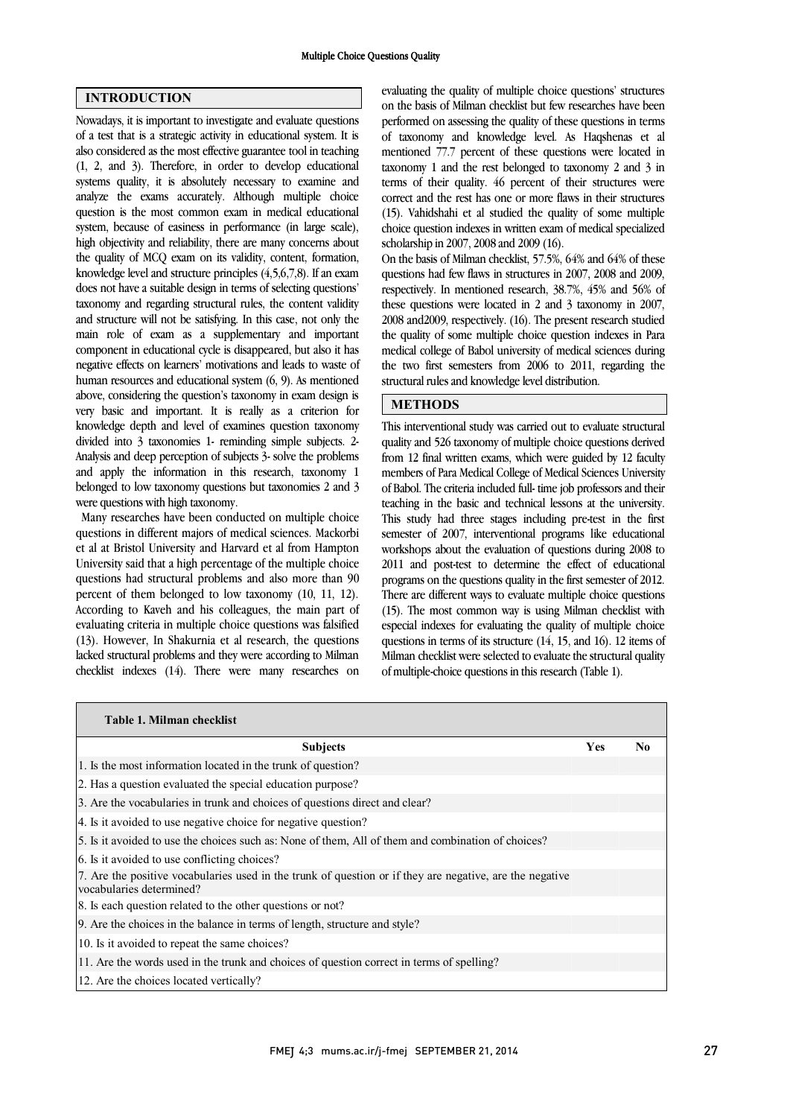#### INTRODUCTION

Nowadays, it is important to investigate and evaluate questions of a test that is a strategic activity in educational system. It is also considered as the most effective guarantee tool in teaching (1, 2, and 3). Therefore, in order to develop educational systems quality, it is absolutely necessary to examine and analyze the exams accurately. Although multiple choice question is the most common exam in medical educational system, because of easiness in performance (in large scale), high objectivity and reliability, there are many concerns about the quality of MCQ exam on its validity, content, formation, knowledge level and structure principles (4,5,6,7,8). If an exam does not have a suitable design in terms of selecting questions' taxonomy and regarding structural rules, the content validity and structure will not be satisfying. In this case, not only the main role of exam as a supplementary and important component in educational cycle is disappeared, but also it has negative effects on learners' motivations and leads to waste of human resources and educational system (6, 9). As mentioned above, considering the question's taxonomy in exam design is very basic and important. It is really as a criterion for knowledge depth and level of examines question taxonomy divided into 3 taxonomies 1- reminding simple subjects. 2- Analysis and deep perception of subjects 3- solve the problems and apply the information in this research, taxonomy 1 belonged to low taxonomy questions but taxonomies 2 and 3 were questions with high taxonomy.

 Many researches have been conducted on multiple choice questions in different majors of medical sciences. Mackorbi et al at Bristol University and Harvard et al from Hampton University said that a high percentage of the multiple choice questions had structural problems and also more than 90 percent of them belonged to low taxonomy (10, 11, 12). According to Kaveh and his colleagues, the main part of evaluating criteria in multiple choice questions was falsified (13). However, In Shakurnia et al research, the questions lacked structural problems and they were according to Milman checklist indexes (14). There were many researches on  evaluating the quality of multiple choice questions' structures on the basis of Milman checklist but few researches have been performed on assessing the quality of these questions in terms of taxonomy and knowledge level. As Haqshenas et al taxonomy 1 and the rest belonged to taxonomy 2 and 3 in terms of their quality. 46 percent of their structures were correct and the rest has one or more flaws in their structures (15). Vahidshahi et al studied the quality of some multiple scholarship in 2007, 2008 and 2009 (16). mentioned 77.7 percent of these questions were located in choice question indexes in written exam of medical specialized

 On the basis of Milman checklist, 57.5%, 64% and 64% of these questions had few flaws in structures in 2007, 2008 and 2009, respectively. In mentioned research, 38.7%, 45% and 56% of 2008 and2009, respectively. (16). The present research studied the quality of some multiple choice question indexes in Para medical college of Babol university of medical sciences during the two first semesters from 2006 to 2011, regarding the structural rules and knowledge level distribution. these questions were located in 2 and 3 taxonomy in 2007,

## **METHODS**

 This interventional study was carried out to evaluate structural quality and 526 taxonomy of multiple choice questions derived members of Para Medical College of Medical Sciences University of Babol. The criteria included full- time job professors and their teaching in the basic and technical lessons at the university. This study had three stages including pre-test in the first workshops about the evaluation of questions during 2008 to 2011 and post-test to determine the effect of educational programs on the questions quality in the first semester of 2012. There are different ways to evaluate multiple choice questions especial indexes for evaluating the quality of multiple choice questions in terms of its structure (14, 15, and 16). 12 items of Milman checklist were selected to evaluate the structural quality of multiple-choice questions in this research (Table 1). from 12 final written exams, which were guided by 12 faculty semester of 2007, interventional programs like educational (15). The most common way is using Milman checklist with

| Table 1. Milman checklist                                                                                                            |            |    |  |
|--------------------------------------------------------------------------------------------------------------------------------------|------------|----|--|
| <b>Subjects</b>                                                                                                                      | <b>Yes</b> | No |  |
| 1. Is the most information located in the trunk of question?                                                                         |            |    |  |
| 2. Has a question evaluated the special education purpose?                                                                           |            |    |  |
| 3. Are the vocabularies in trunk and choices of questions direct and clear?                                                          |            |    |  |
| 4. Is it avoided to use negative choice for negative question?                                                                       |            |    |  |
| 5. Is it avoided to use the choices such as: None of them, All of them and combination of choices?                                   |            |    |  |
| 6. Is it avoided to use conflicting choices?                                                                                         |            |    |  |
| 7. Are the positive vocabularies used in the trunk of question or if they are negative, are the negative<br>vocabularies determined? |            |    |  |
| 8. Is each question related to the other questions or not?                                                                           |            |    |  |
| 9. Are the choices in the balance in terms of length, structure and style?                                                           |            |    |  |
| 10. Is it avoided to repeat the same choices?                                                                                        |            |    |  |
| 11. Are the words used in the trunk and choices of question correct in terms of spelling?                                            |            |    |  |
| 12. Are the choices located vertically?                                                                                              |            |    |  |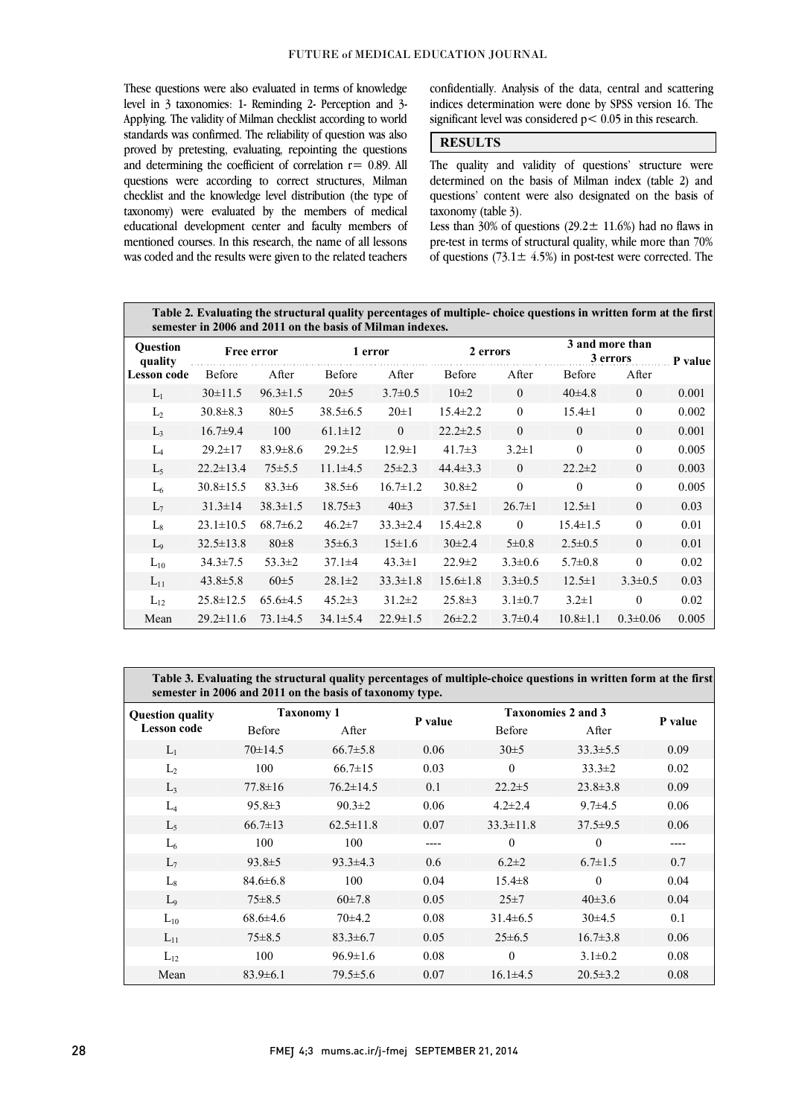These questions were also evaluated in terms of knowledge level in 3 taxonomies: 1- Reminding 2- Perception and 3- Applying. The validity of Milman checklist according to world proved by pretesting, evaluating, repointing the questions and determining the coefficient of correlation  $r = 0.89$ . All questions were according to correct structures, Milman checklist and the knowledge level distribution (the type of taxonomy) were evaluated by the members of medical mentioned courses. In this research, the name of all lessons was coded and the results were given to the related teachers standards was confirmed. The reliability of question was also educational development center and faculty members of  confidentially. Analysis of the data, central and scattering indices determination were done by SPSS version 16. The significant level was considered p< 0.05 in this research.

#### **RESULTS**

 The quality and validity of questions' structure were determined on the basis of Milman index (table 2) and questions' content were also designated on the basis of taxonomy (table 3).

Less than 30% of questions (29.2 $\pm$  11.6%) had no flaws in pre-test in terms of structural quality, while more than 70% of questions  $(73.1 \pm 4.5\%)$  in post-test were corrected. The

| Table 2. Evaluating the structural quality percentages of multiple-choice questions in written form at the first<br>semester in 2006 and 2011 on the basis of Milman indexes. |                   |                |                |                |                |                |                             |                |         |
|-------------------------------------------------------------------------------------------------------------------------------------------------------------------------------|-------------------|----------------|----------------|----------------|----------------|----------------|-----------------------------|----------------|---------|
| <b>Ouestion</b><br>quality                                                                                                                                                    | <b>Free error</b> |                | 1 error        |                | 2 errors       |                | 3 and more than<br>3 errors |                | P value |
| <b>Lesson code</b>                                                                                                                                                            | <b>Before</b>     | After          | <b>Before</b>  | After          | <b>Before</b>  | After          | <b>Before</b>               | After          |         |
| $L_1$                                                                                                                                                                         | $30\pm11.5$       | $96.3 \pm 1.5$ | $20 \pm 5$     | $3.7 \pm 0.5$  | $10\pm 2$      | $\theta$       | $40\pm4.8$                  | $\overline{0}$ | 0.001   |
| $\mathcal{L}_{2}$                                                                                                                                                             | $30.8 \pm 8.3$    | $80+5$         | $38.5 \pm 6.5$ | $20 \pm 1$     | $15.4 \pm 2.2$ | $\mathbf{0}$   | $15.4 \pm 1$                | $\theta$       | 0.002   |
| L <sub>3</sub>                                                                                                                                                                | $16.7 \pm 9.4$    | 100            | $61.1 \pm 12$  | $\overline{0}$ | $22.2 \pm 2.5$ | $\mathbf{0}$   | $\mathbf{0}$                | $\overline{0}$ | 0.001   |
| $L_4$                                                                                                                                                                         | $29.2 \pm 17$     | $83.9 \pm 8.6$ | $29.2 \pm 5$   | $12.9 \pm 1$   | $41.7 \pm 3$   | $3.2 \pm 1$    | $\boldsymbol{0}$            | $\theta$       | 0.005   |
| $L_5$                                                                                                                                                                         | $22.2 \pm 13.4$   | $75 \pm 5.5$   | $11.1\pm4.5$   | $25 \pm 2.3$   | $44.4 \pm 3.3$ | $\overline{0}$ | $22.2 \pm 2$                | $\overline{0}$ | 0.003   |
| $L_6$                                                                                                                                                                         | $30.8 \pm 15.5$   | $83.3 \pm 6$   | $38.5 \pm 6$   | $16.7 \pm 1.2$ | $30.8 \pm 2$   | $\theta$       | $\theta$                    | $\theta$       | 0.005   |
| $L_7$                                                                                                                                                                         | $31.3 \pm 14$     | $38.3 \pm 1.5$ | $18.75 \pm 3$  | $40\pm3$       | $37.5 \pm 1$   | $26.7 \pm 1$   | $12.5 \pm 1$                | $\theta$       | 0.03    |
| $L_{8}$                                                                                                                                                                       | $23.1 \pm 10.5$   | $68.7 \pm 6.2$ | $46.2 \pm 7$   | $33.3 \pm 2.4$ | $15.4 \pm 2.8$ | $\theta$       | $15.4 \pm 1.5$              | $\theta$       | 0.01    |
| $L_9$                                                                                                                                                                         | $32.5 \pm 13.8$   | $80\pm8$       | $35\pm6.3$     | $15\pm1.6$     | $30\pm2.4$     | 5 ± 0.8        | $2.5 \pm 0.5$               | $\mathbf{0}$   | 0.01    |
| $L_{10}$                                                                                                                                                                      | $34.3 \pm 7.5$    | $53.3 \pm 2$   | $37.1 \pm 4$   | $43.3 \pm 1$   | $22.9 \pm 2$   | $3.3 \pm 0.6$  | $5.7 \pm 0.8$               | $\mathbf{0}$   | 0.02    |
| $L_{11}$                                                                                                                                                                      | $43.8 \pm 5.8$    | $60\pm5$       | $28.1 \pm 2$   | $33.3 \pm 1.8$ | $15.6 \pm 1.8$ | $3.3 \pm 0.5$  | $12.5 \pm 1$                | $3.3 \pm 0.5$  | 0.03    |
| $L_{12}$                                                                                                                                                                      | $25.8 \pm 12.5$   | $65.6\pm4.5$   | $45.2 \pm 3$   | $31.2 \pm 2$   | $25.8 \pm 3$   | $3.1 \pm 0.7$  | $3.2 \pm 1$                 | $\theta$       | 0.02    |
| Mean                                                                                                                                                                          | $29.2 \pm 11.6$   | $73.1 \pm 4.5$ | $34.1 \pm 5.4$ | $22.9 \pm 1.5$ | $26\pm2.2$     | $3.7 \pm 0.4$  | $10.8 \pm 1.1$              | $0.3 \pm 0.06$ | 0.005   |

 Table 3. Evaluating the structural quality percentages of multiple-choice questions in written form at the first semester in 2006 and 2011 on the basis of taxonomy type.

| <b>Question quality</b><br><b>Lesson</b> code | <b>Taxonomy 1</b> |                 |         | <b>Taxonomies 2 and 3</b> |                |         |
|-----------------------------------------------|-------------------|-----------------|---------|---------------------------|----------------|---------|
|                                               | <b>Before</b>     | After           | P value | <b>Before</b>             | After          | P value |
| $L_1$                                         | $70 \pm 14.5$     | $66.7 \pm 5.8$  | 0.06    | 30±5                      | $33.3 \pm 5.5$ | 0.09    |
| $L_2$                                         | 100               | $66.7 \pm 15$   | 0.03    | $\theta$                  | $33.3 \pm 2$   | 0.02    |
| L <sub>3</sub>                                | $77.8 \pm 16$     | $76.2 \pm 14.5$ | 0.1     | $22.2 \pm 5$              | $23.8 \pm 3.8$ | 0.09    |
| $L_4$                                         | $95.8 \pm 3$      | $90.3 \pm 2$    | 0.06    | $4.2 \pm 2.4$             | $9.7 \pm 4.5$  | 0.06    |
| $L_5$                                         | $66.7 \pm 13$     | $62.5 \pm 11.8$ | 0.07    | $33.3 \pm 11.8$           | $37.5 \pm 9.5$ | 0.06    |
| $L_6$                                         | 100               | 100             | ----    | $\theta$                  | $\theta$       |         |
| $L_7$                                         | $93.8 \pm 5$      | $93.3 \pm 4.3$  | 0.6     | $6.2 \pm 2$               | $6.7 \pm 1.5$  | 0.7     |
| $L_8$                                         | $84.6 \pm 6.8$    | 100             | 0.04    | $15.4\pm8$                | $\theta$       | 0.04    |
| $L_9$                                         | $75\pm8.5$        | $60\pm7.8$      | 0.05    | $25 \pm 7$                | $40\pm3.6$     | 0.04    |
| $L_{10}$                                      | $68.6\pm4.6$      | $70+4.2$        | 0.08    | $31.4\pm 6.5$             | $30\pm4.5$     | 0.1     |
| $L_{11}$                                      | $75 \pm 8.5$      | $83.3 \pm 6.7$  | 0.05    | $25\pm 6.5$               | $16.7 \pm 3.8$ | 0.06    |
| $L_{12}$                                      | 100               | $96.9 \pm 1.6$  | 0.08    | $\theta$                  | $3.1 \pm 0.2$  | 0.08    |
| Mean                                          | $83.9 \pm 6.1$    | $79.5 \pm 5.6$  | 0.07    | $16.1\pm4.5$              | $20.5 \pm 3.2$ | 0.08    |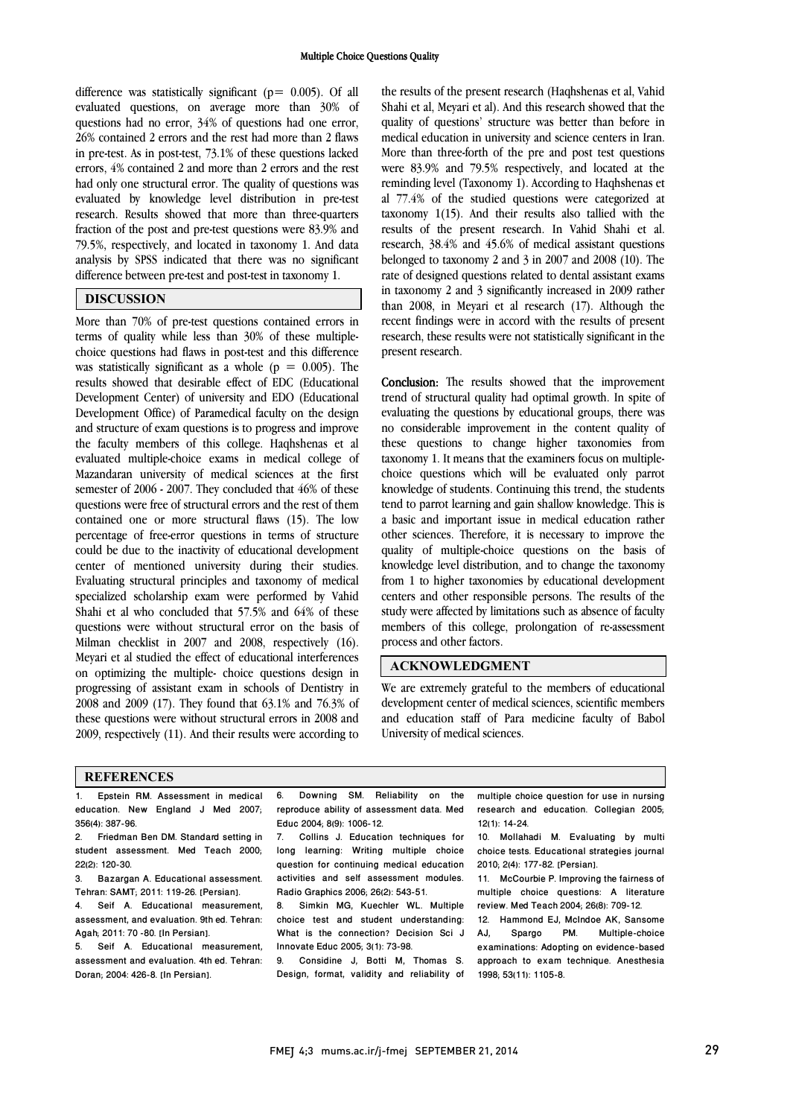difference was statistically significant ( $p= 0.005$ ). Of all evaluated questions, on average more than 30% of questions had no error, 34% of questions had one error, 26% contained 2 errors and the rest had more than 2 flaws in pre-test. As in post-test, 73.1% of these questions lacked errors, 4% contained 2 and more than 2 errors and the rest had only one structural error. The quality of questions was evaluated by knowledge level distribution in pre-test research. Results showed that more than three-quarters fraction of the post and pre-test questions were 83.9% and 79.5%, respectively, and located in taxonomy 1. And data analysis by SPSS indicated that there was no significant difference between pre-test and post-test in taxonomy 1.

#### DISCUSSION

More than 70% of pre-test questions contained errors in terms of quality while less than 30% of these multiplechoice questions had flaws in post-test and this difference was statistically significant as a whole ( $p = 0.005$ ). The results showed that desirable effect of EDC (Educational Development Center) of university and EDO (Educational Development Office) of Paramedical faculty on the design and structure of exam questions is to progress and improve the faculty members of this college. Haqhshenas et al evaluated multiple-choice exams in medical college of Mazandaran university of medical sciences at the first semester of 2006 - 2007. They concluded that 46% of these questions were free of structural errors and the rest of them contained one or more structural flaws (15). The low percentage of free-error questions in terms of structure could be due to the inactivity of educational development center of mentioned university during their studies. Evaluating structural principles and taxonomy of medical specialized scholarship exam were performed by Vahid Shahi et al who concluded that 57.5% and 64% of these questions were without structural error on the basis of Milman checklist in 2007 and 2008, respectively (16). Meyari et al studied the effect of educational interferences on optimizing the multiple- choice questions design in progressing of assistant exam in schools of Dentistry in 2008 and 2009 (17). They found that 63.1% and 76.3% of these questions were without structural errors in 2008 and 2009, respectively (11). And their results were according to

 the results of the present research (Haqhshenas et al, Vahid Shahi et al, Meyari et al). And this research showed that the quality of questions' structure was better than before in medical education in university and science centers in Iran. were 83.9% and 79.5% respectively, and located at the reminding level (Taxonomy 1). According to Haqhshenas et al 77.4% of the studied questions were categorized at taxonomy 1(15). And their results also tallied with the research, 38.4% and 45.6% of medical assistant questions belonged to taxonomy 2 and 3 in 2007 and 2008 (10). The rate of designed questions related to dental assistant exams in taxonomy 2 and 3 significantly increased in 2009 rather recent findings were in accord with the results of present research, these results were not statistically significant in the present research. More than three-forth of the pre and post test questions results of the present research. In Vahid Shahi et al. than 2008, in Meyari et al research (17). Although the

 trend of structural quality had optimal growth. In spite of evaluating the questions by educational groups, there was no considerable improvement in the content quality of these questions to change higher taxonomies from choice questions which will be evaluated only parrot knowledge of students. Continuing this trend, the students tend to parrot learning and gain shallow knowledge. This is a basic and important issue in medical education rather quality of multiple-choice questions on the basis of knowledge level distribution, and to change the taxonomy from 1 to higher taxonomies by educational development centers and other responsible persons. The results of the members of this college, prolongation of re-assessment process and other factors. Conclusion: The results showed that the improvement taxonomy 1. It means that the examiners focus on multipleother sciences. Therefore, it is necessary to improve the study were affected by limitations such as absence of faculty

# ACKNOWLEDGMENT

 We are extremely grateful to the members of educational development center of medical sciences, scientific members and education staff of Para medicine faculty of Babol University of medical sciences.

#### **REFERENCES**

- Epstein RM. Assessment in medical education. New England J Med 2007; 356(4): 387-96.
- 2. Friedman Ben DM. Standard setting in student assessment. Med Teach 2000; 22(2): 120-30.
- 3. Bazargan A. Educational assessment. Tehran: SAMT; 2011: 119-26. [Persian].
- 4. Seif A. Educational measurement, assessment, and evaluation. 9th ed. Tehran: Agah; 2011: 70 -80. [In Persian].
- 5. Seif A. Educational measurement, assessment and evaluation. 4th ed. Tehran: Doran; 2004: 426-8. [In Persian].

 6. Downing SM. Reliability on the reproduce ability of assessment data. Med Educ 2004; 8(9): 1006-12.

I

 7. Collins J. Education techniques for long learning: Writing multiple choice question for continuing medical education Radio Graphics 2006; 26(2): 543-51. activities and self assessment modules.

 8. Simkin MG, Kuechler WL. Multiple What is the connection? Decision Sci J Innovate Educ 2005; 3(1): 73-98. choice test and student understanding:

 9. Considine J, Botti M, Thomas S. Design, format, validity and reliability of multiple choice question for use in nursing research and education. Collegian 2005; 12(1): 14-24.

10. Mollahadi M. Evaluating by multi choice tests. Educational strategies journal 2010; 2(4): 177-82. [Persian].

11. McCourbie P. Improving the fairness of multiple choice questions: A literature review. Med Teach 2004; 26(8): 709-12.

12. Hammond EJ, McIndoe AK, Sansome<br>AJ, Spargo PM. Multiple-choice AJ, Spargo PM. Multiple-choice examinations: Adopting on evidence-based approach to exam technique. Anesthesia 1998; 53(11): 1105-8.